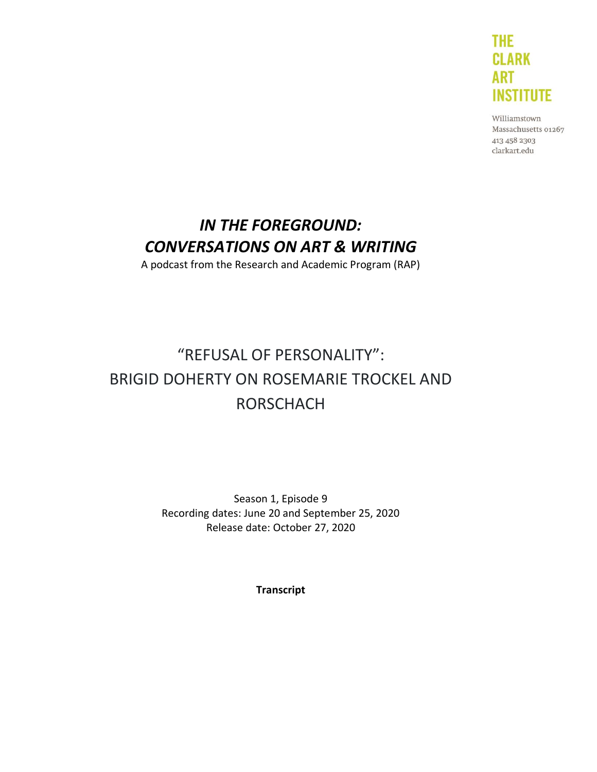

Williamstown Massachusetts 01267 413 458 2303 clarkart.edu

# *IN THE FOREGROUND: CONVERSATIONS ON ART & WRITING*

A podcast from the Research and Academic Program (RAP)

# "REFUSAL OF PERSONALITY": BRIGID DOHERTY ON ROSEMARIE TROCKEL AND RORSCHACH

Season 1, Episode 9 Recording dates: June 20 and September 25, 2020 Release date: October 27, 2020

**Transcript**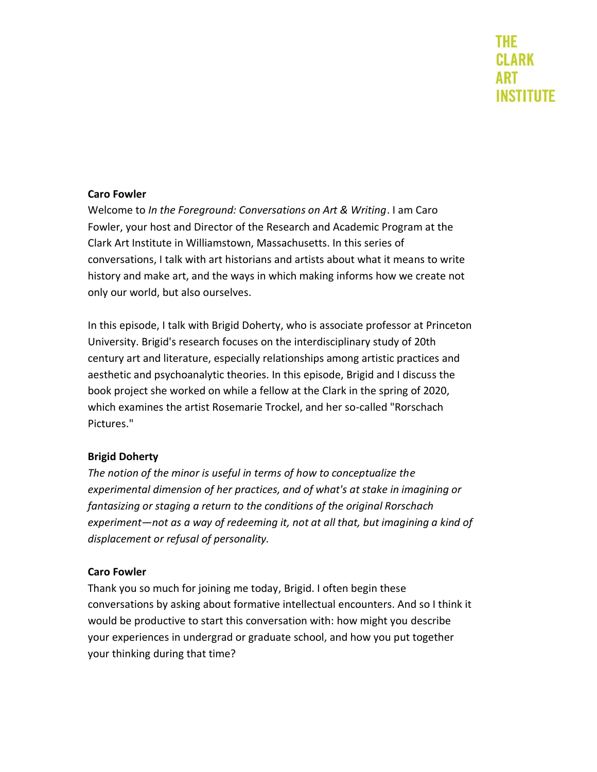#### **Caro Fowler**

Welcome to *In the Foreground: Conversations on Art & Writing*. I am Caro Fowler, your host and Director of the Research and Academic Program at the Clark Art Institute in Williamstown, Massachusetts. In this series of conversations, I talk with art historians and artists about what it means to write history and make art, and the ways in which making informs how we create not only our world, but also ourselves.

In this episode, I talk with Brigid Doherty, who is associate professor at Princeton University. Brigid's research focuses on the interdisciplinary study of 20th century art and literature, especially relationships among artistic practices and aesthetic and psychoanalytic theories. In this episode, Brigid and I discuss the book project she worked on while a fellow at the Clark in the spring of 2020, which examines the artist Rosemarie Trockel, and her so-called "Rorschach Pictures."

#### **Brigid Doherty**

*The notion of the minor is useful in terms of how to conceptualize the experimental dimension of her practices, and of what's at stake in imagining or fantasizing or staging a return to the conditions of the original Rorschach experiment—not as a way of redeeming it, not at all that, but imagining a kind of displacement or refusal of personality.*

#### **Caro Fowler**

Thank you so much for joining me today, Brigid. I often begin these conversations by asking about formative intellectual encounters. And so I think it would be productive to start this conversation with: how might you describe your experiences in undergrad or graduate school, and how you put together your thinking during that time?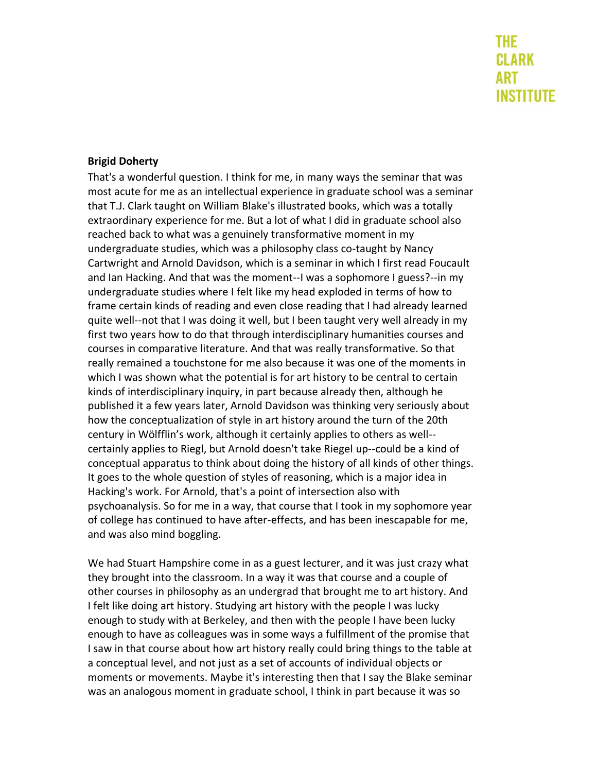#### **Brigid Doherty**

That's a wonderful question. I think for me, in many ways the seminar that was most acute for me as an intellectual experience in graduate school was a seminar that T.J. Clark taught on William Blake's illustrated books, which was a totally extraordinary experience for me. But a lot of what I did in graduate school also reached back to what was a genuinely transformative moment in my undergraduate studies, which was a philosophy class co-taught by Nancy Cartwright and Arnold Davidson, which is a seminar in which I first read Foucault and Ian Hacking. And that was the moment--I was a sophomore I guess?--in my undergraduate studies where I felt like my head exploded in terms of how to frame certain kinds of reading and even close reading that I had already learned quite well--not that I was doing it well, but I been taught very well already in my first two years how to do that through interdisciplinary humanities courses and courses in comparative literature. And that was really transformative. So that really remained a touchstone for me also because it was one of the moments in which I was shown what the potential is for art history to be central to certain kinds of interdisciplinary inquiry, in part because already then, although he published it a few years later, Arnold Davidson was thinking very seriously about how the conceptualization of style in art history around the turn of the 20th century in Wölfflin's work, although it certainly applies to others as well- certainly applies to Riegl, but Arnold doesn't take Riegel up--could be a kind of conceptual apparatus to think about doing the history of all kinds of other things. It goes to the whole question of styles of reasoning, which is a major idea in Hacking's work. For Arnold, that's a point of intersection also with psychoanalysis. So for me in a way, that course that I took in my sophomore year of college has continued to have after-effects, and has been inescapable for me, and was also mind boggling.

We had Stuart Hampshire come in as a guest lecturer, and it was just crazy what they brought into the classroom. In a way it was that course and a couple of other courses in philosophy as an undergrad that brought me to art history. And I felt like doing art history. Studying art history with the people I was lucky enough to study with at Berkeley, and then with the people I have been lucky enough to have as colleagues was in some ways a fulfillment of the promise that I saw in that course about how art history really could bring things to the table at a conceptual level, and not just as a set of accounts of individual objects or moments or movements. Maybe it's interesting then that I say the Blake seminar was an analogous moment in graduate school, I think in part because it was so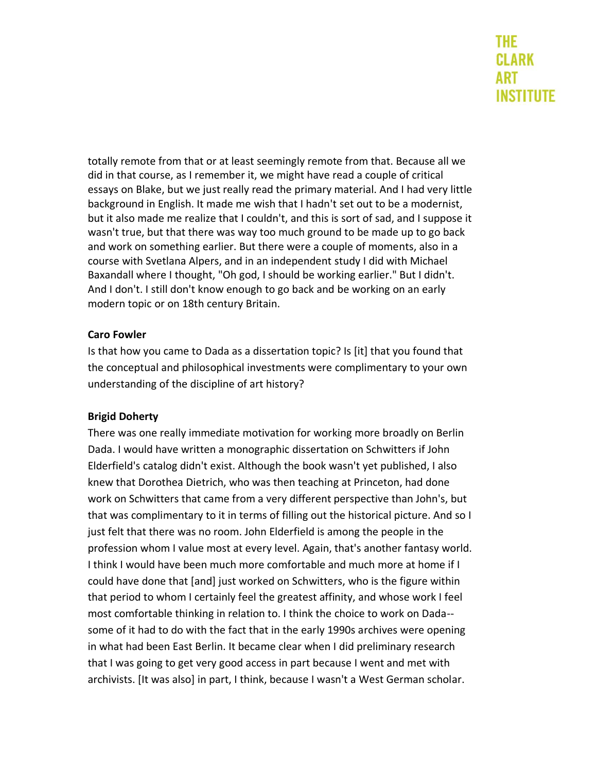totally remote from that or at least seemingly remote from that. Because all we did in that course, as I remember it, we might have read a couple of critical essays on Blake, but we just really read the primary material. And I had very little background in English. It made me wish that I hadn't set out to be a modernist, but it also made me realize that I couldn't, and this is sort of sad, and I suppose it wasn't true, but that there was way too much ground to be made up to go back and work on something earlier. But there were a couple of moments, also in a course with Svetlana Alpers, and in an independent study I did with Michael Baxandall where I thought, "Oh god, I should be working earlier." But I didn't. And I don't. I still don't know enough to go back and be working on an early modern topic or on 18th century Britain.

### **Caro Fowler**

Is that how you came to Dada as a dissertation topic? Is [it] that you found that the conceptual and philosophical investments were complimentary to your own understanding of the discipline of art history?

### **Brigid Doherty**

There was one really immediate motivation for working more broadly on Berlin Dada. I would have written a monographic dissertation on Schwitters if John Elderfield's catalog didn't exist. Although the book wasn't yet published, I also knew that Dorothea Dietrich, who was then teaching at Princeton, had done work on Schwitters that came from a very different perspective than John's, but that was complimentary to it in terms of filling out the historical picture. And so I just felt that there was no room. John Elderfield is among the people in the profession whom I value most at every level. Again, that's another fantasy world. I think I would have been much more comfortable and much more at home if I could have done that [and] just worked on Schwitters, who is the figure within that period to whom I certainly feel the greatest affinity, and whose work I feel most comfortable thinking in relation to. I think the choice to work on Dada- some of it had to do with the fact that in the early 1990s archives were opening in what had been East Berlin. It became clear when I did preliminary research that I was going to get very good access in part because I went and met with archivists. [It was also] in part, I think, because I wasn't a West German scholar.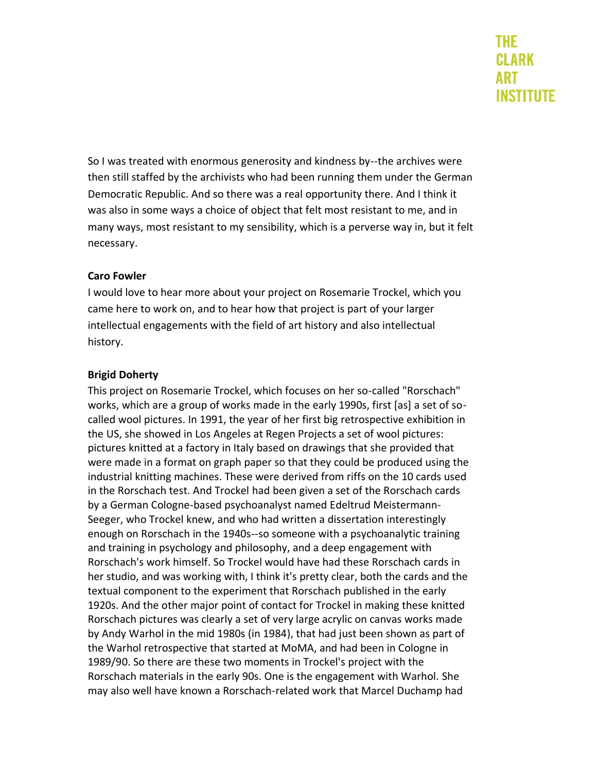So I was treated with enormous generosity and kindness by--the archives were then still staffed by the archivists who had been running them under the German Democratic Republic. And so there was a real opportunity there. And I think it was also in some ways a choice of object that felt most resistant to me, and in many ways, most resistant to my sensibility, which is a perverse way in, but it felt necessary.

### **Caro Fowler**

I would love to hear more about your project on Rosemarie Trockel, which you came here to work on, and to hear how that project is part of your larger intellectual engagements with the field of art history and also intellectual history.

### **Brigid Doherty**

This project on Rosemarie Trockel, which focuses on her so-called "Rorschach" works, which are a group of works made in the early 1990s, first [as] a set of socalled wool pictures. In 1991, the year of her first big retrospective exhibition in the US, she showed in Los Angeles at Regen Projects a set of wool pictures: pictures knitted at a factory in Italy based on drawings that she provided that were made in a format on graph paper so that they could be produced using the industrial knitting machines. These were derived from riffs on the 10 cards used in the Rorschach test. And Trockel had been given a set of the Rorschach cards by a German Cologne-based psychoanalyst named Edeltrud Meistermann-Seeger, who Trockel knew, and who had written a dissertation interestingly enough on Rorschach in the 1940s--so someone with a psychoanalytic training and training in psychology and philosophy, and a deep engagement with Rorschach's work himself. So Trockel would have had these Rorschach cards in her studio, and was working with, I think it's pretty clear, both the cards and the textual component to the experiment that Rorschach published in the early 1920s. And the other major point of contact for Trockel in making these knitted Rorschach pictures was clearly a set of very large acrylic on canvas works made by Andy Warhol in the mid 1980s (in 1984), that had just been shown as part of the Warhol retrospective that started at MoMA, and had been in Cologne in 1989/90. So there are these two moments in Trockel's project with the Rorschach materials in the early 90s. One is the engagement with Warhol. She may also well have known a Rorschach-related work that Marcel Duchamp had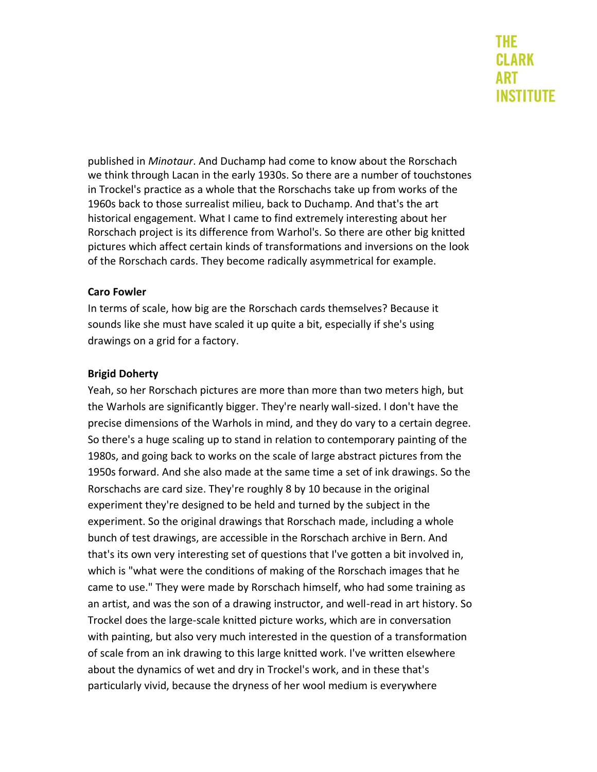published in *Minotaur*. And Duchamp had come to know about the Rorschach we think through Lacan in the early 1930s. So there are a number of touchstones in Trockel's practice as a whole that the Rorschachs take up from works of the 1960s back to those surrealist milieu, back to Duchamp. And that's the art historical engagement. What I came to find extremely interesting about her Rorschach project is its difference from Warhol's. So there are other big knitted pictures which affect certain kinds of transformations and inversions on the look of the Rorschach cards. They become radically asymmetrical for example.

### **Caro Fowler**

In terms of scale, how big are the Rorschach cards themselves? Because it sounds like she must have scaled it up quite a bit, especially if she's using drawings on a grid for a factory.

### **Brigid Doherty**

Yeah, so her Rorschach pictures are more than more than two meters high, but the Warhols are significantly bigger. They're nearly wall-sized. I don't have the precise dimensions of the Warhols in mind, and they do vary to a certain degree. So there's a huge scaling up to stand in relation to contemporary painting of the 1980s, and going back to works on the scale of large abstract pictures from the 1950s forward. And she also made at the same time a set of ink drawings. So the Rorschachs are card size. They're roughly 8 by 10 because in the original experiment they're designed to be held and turned by the subject in the experiment. So the original drawings that Rorschach made, including a whole bunch of test drawings, are accessible in the Rorschach archive in Bern. And that's its own very interesting set of questions that I've gotten a bit involved in, which is "what were the conditions of making of the Rorschach images that he came to use." They were made by Rorschach himself, who had some training as an artist, and was the son of a drawing instructor, and well-read in art history. So Trockel does the large-scale knitted picture works, which are in conversation with painting, but also very much interested in the question of a transformation of scale from an ink drawing to this large knitted work. I've written elsewhere about the dynamics of wet and dry in Trockel's work, and in these that's particularly vivid, because the dryness of her wool medium is everywhere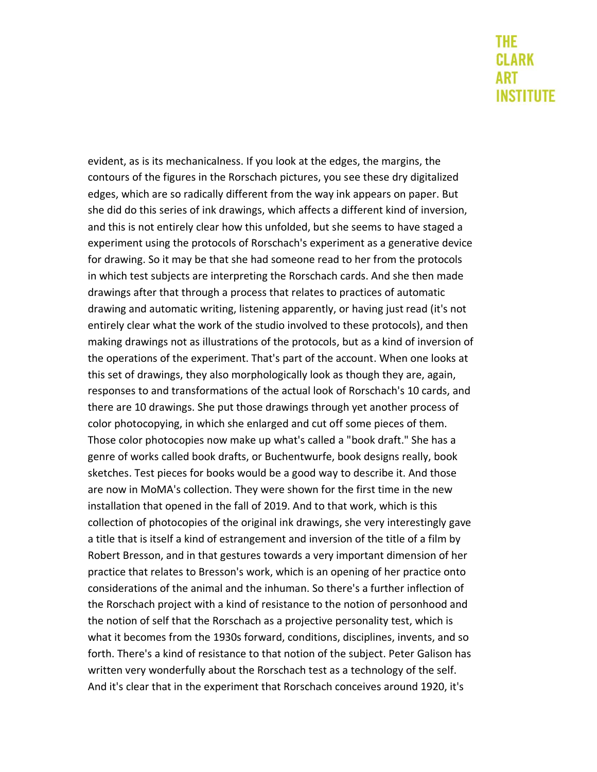evident, as is its mechanicalness. If you look at the edges, the margins, the contours of the figures in the Rorschach pictures, you see these dry digitalized edges, which are so radically different from the way ink appears on paper. But she did do this series of ink drawings, which affects a different kind of inversion, and this is not entirely clear how this unfolded, but she seems to have staged a experiment using the protocols of Rorschach's experiment as a generative device for drawing. So it may be that she had someone read to her from the protocols in which test subjects are interpreting the Rorschach cards. And she then made drawings after that through a process that relates to practices of automatic drawing and automatic writing, listening apparently, or having just read (it's not entirely clear what the work of the studio involved to these protocols), and then making drawings not as illustrations of the protocols, but as a kind of inversion of the operations of the experiment. That's part of the account. When one looks at this set of drawings, they also morphologically look as though they are, again, responses to and transformations of the actual look of Rorschach's 10 cards, and there are 10 drawings. She put those drawings through yet another process of color photocopying, in which she enlarged and cut off some pieces of them. Those color photocopies now make up what's called a "book draft." She has a genre of works called book drafts, or Buchentwurfe, book designs really, book sketches. Test pieces for books would be a good way to describe it. And those are now in MoMA's collection. They were shown for the first time in the new installation that opened in the fall of 2019. And to that work, which is this collection of photocopies of the original ink drawings, she very interestingly gave a title that is itself a kind of estrangement and inversion of the title of a film by Robert Bresson, and in that gestures towards a very important dimension of her practice that relates to Bresson's work, which is an opening of her practice onto considerations of the animal and the inhuman. So there's a further inflection of the Rorschach project with a kind of resistance to the notion of personhood and the notion of self that the Rorschach as a projective personality test, which is what it becomes from the 1930s forward, conditions, disciplines, invents, and so forth. There's a kind of resistance to that notion of the subject. Peter Galison has written very wonderfully about the Rorschach test as a technology of the self. And it's clear that in the experiment that Rorschach conceives around 1920, it's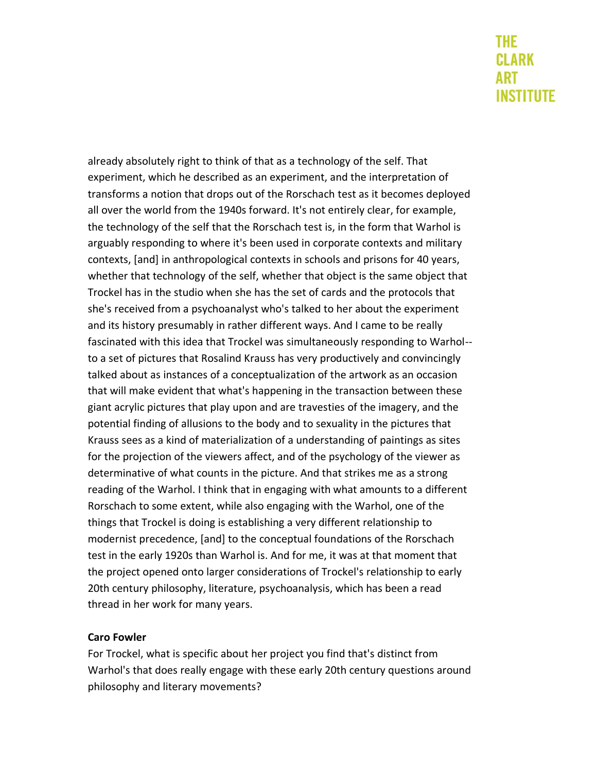already absolutely right to think of that as a technology of the self. That experiment, which he described as an experiment, and the interpretation of transforms a notion that drops out of the Rorschach test as it becomes deployed all over the world from the 1940s forward. It's not entirely clear, for example, the technology of the self that the Rorschach test is, in the form that Warhol is arguably responding to where it's been used in corporate contexts and military contexts, [and] in anthropological contexts in schools and prisons for 40 years, whether that technology of the self, whether that object is the same object that Trockel has in the studio when she has the set of cards and the protocols that she's received from a psychoanalyst who's talked to her about the experiment and its history presumably in rather different ways. And I came to be really fascinated with this idea that Trockel was simultaneously responding to Warhol- to a set of pictures that Rosalind Krauss has very productively and convincingly talked about as instances of a conceptualization of the artwork as an occasion that will make evident that what's happening in the transaction between these giant acrylic pictures that play upon and are travesties of the imagery, and the potential finding of allusions to the body and to sexuality in the pictures that Krauss sees as a kind of materialization of a understanding of paintings as sites for the projection of the viewers affect, and of the psychology of the viewer as determinative of what counts in the picture. And that strikes me as a strong reading of the Warhol. I think that in engaging with what amounts to a different Rorschach to some extent, while also engaging with the Warhol, one of the things that Trockel is doing is establishing a very different relationship to modernist precedence, [and] to the conceptual foundations of the Rorschach test in the early 1920s than Warhol is. And for me, it was at that moment that the project opened onto larger considerations of Trockel's relationship to early 20th century philosophy, literature, psychoanalysis, which has been a read thread in her work for many years.

### **Caro Fowler**

For Trockel, what is specific about her project you find that's distinct from Warhol's that does really engage with these early 20th century questions around philosophy and literary movements?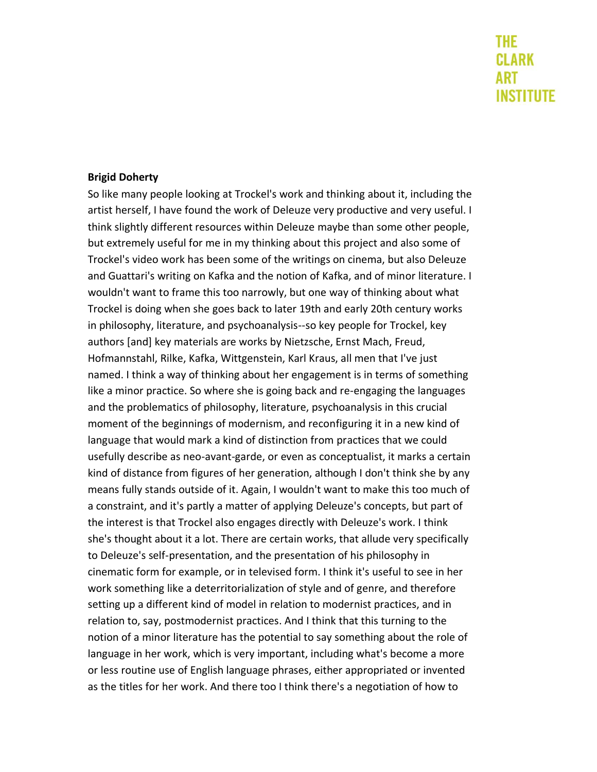#### **Brigid Doherty**

So like many people looking at Trockel's work and thinking about it, including the artist herself, I have found the work of Deleuze very productive and very useful. I think slightly different resources within Deleuze maybe than some other people, but extremely useful for me in my thinking about this project and also some of Trockel's video work has been some of the writings on cinema, but also Deleuze and Guattari's writing on Kafka and the notion of Kafka, and of minor literature. I wouldn't want to frame this too narrowly, but one way of thinking about what Trockel is doing when she goes back to later 19th and early 20th century works in philosophy, literature, and psychoanalysis--so key people for Trockel, key authors [and] key materials are works by Nietzsche, Ernst Mach, Freud, Hofmannstahl, Rilke, Kafka, Wittgenstein, Karl Kraus, all men that I've just named. I think a way of thinking about her engagement is in terms of something like a minor practice. So where she is going back and re-engaging the languages and the problematics of philosophy, literature, psychoanalysis in this crucial moment of the beginnings of modernism, and reconfiguring it in a new kind of language that would mark a kind of distinction from practices that we could usefully describe as neo-avant-garde, or even as conceptualist, it marks a certain kind of distance from figures of her generation, although I don't think she by any means fully stands outside of it. Again, I wouldn't want to make this too much of a constraint, and it's partly a matter of applying Deleuze's concepts, but part of the interest is that Trockel also engages directly with Deleuze's work. I think she's thought about it a lot. There are certain works, that allude very specifically to Deleuze's self-presentation, and the presentation of his philosophy in cinematic form for example, or in televised form. I think it's useful to see in her work something like a deterritorialization of style and of genre, and therefore setting up a different kind of model in relation to modernist practices, and in relation to, say, postmodernist practices. And I think that this turning to the notion of a minor literature has the potential to say something about the role of language in her work, which is very important, including what's become a more or less routine use of English language phrases, either appropriated or invented as the titles for her work. And there too I think there's a negotiation of how to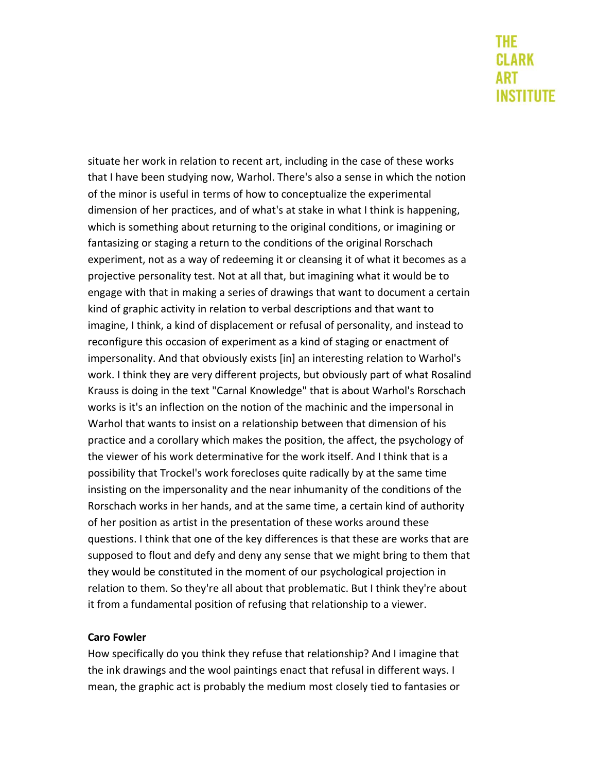situate her work in relation to recent art, including in the case of these works that I have been studying now, Warhol. There's also a sense in which the notion of the minor is useful in terms of how to conceptualize the experimental dimension of her practices, and of what's at stake in what I think is happening, which is something about returning to the original conditions, or imagining or fantasizing or staging a return to the conditions of the original Rorschach experiment, not as a way of redeeming it or cleansing it of what it becomes as a projective personality test. Not at all that, but imagining what it would be to engage with that in making a series of drawings that want to document a certain kind of graphic activity in relation to verbal descriptions and that want to imagine, I think, a kind of displacement or refusal of personality, and instead to reconfigure this occasion of experiment as a kind of staging or enactment of impersonality. And that obviously exists [in] an interesting relation to Warhol's work. I think they are very different projects, but obviously part of what Rosalind Krauss is doing in the text "Carnal Knowledge" that is about Warhol's Rorschach works is it's an inflection on the notion of the machinic and the impersonal in Warhol that wants to insist on a relationship between that dimension of his practice and a corollary which makes the position, the affect, the psychology of the viewer of his work determinative for the work itself. And I think that is a possibility that Trockel's work forecloses quite radically by at the same time insisting on the impersonality and the near inhumanity of the conditions of the Rorschach works in her hands, and at the same time, a certain kind of authority of her position as artist in the presentation of these works around these questions. I think that one of the key differences is that these are works that are supposed to flout and defy and deny any sense that we might bring to them that they would be constituted in the moment of our psychological projection in relation to them. So they're all about that problematic. But I think they're about it from a fundamental position of refusing that relationship to a viewer.

#### **Caro Fowler**

How specifically do you think they refuse that relationship? And I imagine that the ink drawings and the wool paintings enact that refusal in different ways. I mean, the graphic act is probably the medium most closely tied to fantasies or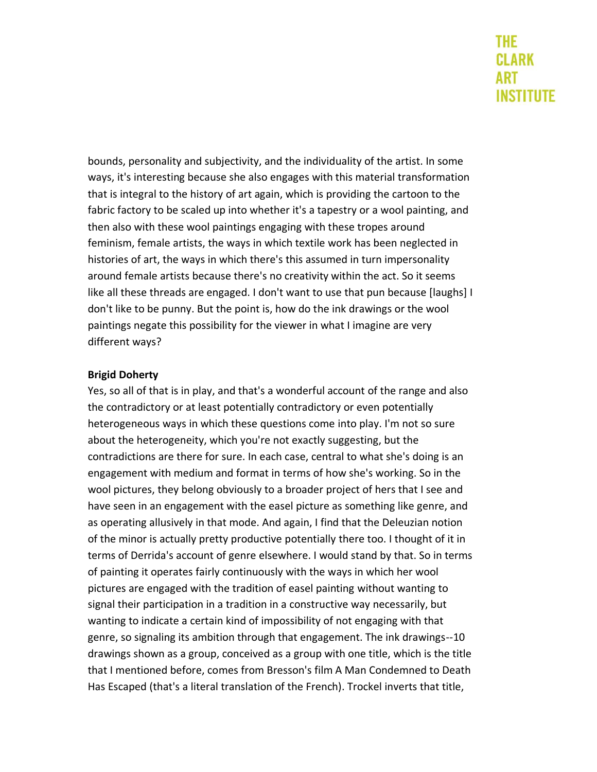bounds, personality and subjectivity, and the individuality of the artist. In some ways, it's interesting because she also engages with this material transformation that is integral to the history of art again, which is providing the cartoon to the fabric factory to be scaled up into whether it's a tapestry or a wool painting, and then also with these wool paintings engaging with these tropes around feminism, female artists, the ways in which textile work has been neglected in histories of art, the ways in which there's this assumed in turn impersonality around female artists because there's no creativity within the act. So it seems like all these threads are engaged. I don't want to use that pun because [laughs] I don't like to be punny. But the point is, how do the ink drawings or the wool paintings negate this possibility for the viewer in what I imagine are very different ways?

### **Brigid Doherty**

Yes, so all of that is in play, and that's a wonderful account of the range and also the contradictory or at least potentially contradictory or even potentially heterogeneous ways in which these questions come into play. I'm not so sure about the heterogeneity, which you're not exactly suggesting, but the contradictions are there for sure. In each case, central to what she's doing is an engagement with medium and format in terms of how she's working. So in the wool pictures, they belong obviously to a broader project of hers that I see and have seen in an engagement with the easel picture as something like genre, and as operating allusively in that mode. And again, I find that the Deleuzian notion of the minor is actually pretty productive potentially there too. I thought of it in terms of Derrida's account of genre elsewhere. I would stand by that. So in terms of painting it operates fairly continuously with the ways in which her wool pictures are engaged with the tradition of easel painting without wanting to signal their participation in a tradition in a constructive way necessarily, but wanting to indicate a certain kind of impossibility of not engaging with that genre, so signaling its ambition through that engagement. The ink drawings--10 drawings shown as a group, conceived as a group with one title, which is the title that I mentioned before, comes from Bresson's film A Man Condemned to Death Has Escaped (that's a literal translation of the French). Trockel inverts that title,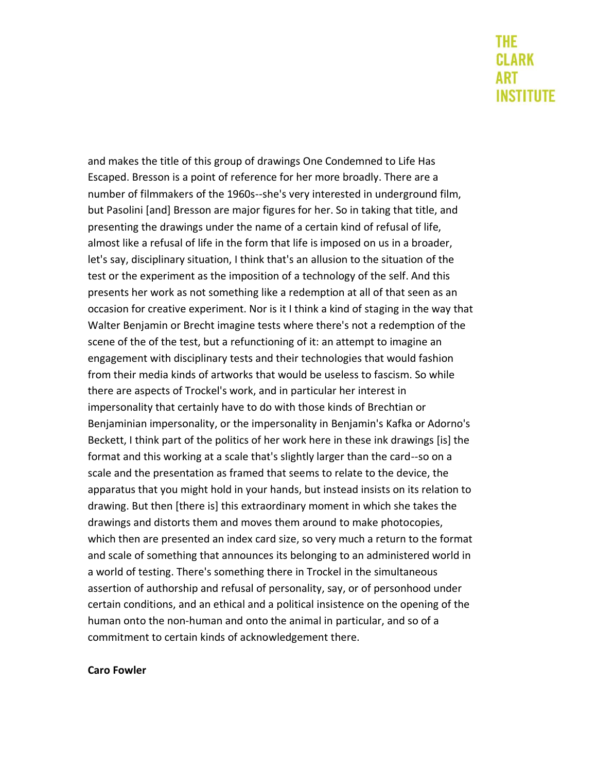and makes the title of this group of drawings One Condemned to Life Has Escaped. Bresson is a point of reference for her more broadly. There are a number of filmmakers of the 1960s--she's very interested in underground film, but Pasolini [and] Bresson are major figures for her. So in taking that title, and presenting the drawings under the name of a certain kind of refusal of life, almost like a refusal of life in the form that life is imposed on us in a broader, let's say, disciplinary situation, I think that's an allusion to the situation of the test or the experiment as the imposition of a technology of the self. And this presents her work as not something like a redemption at all of that seen as an occasion for creative experiment. Nor is it I think a kind of staging in the way that Walter Benjamin or Brecht imagine tests where there's not a redemption of the scene of the of the test, but a refunctioning of it: an attempt to imagine an engagement with disciplinary tests and their technologies that would fashion from their media kinds of artworks that would be useless to fascism. So while there are aspects of Trockel's work, and in particular her interest in impersonality that certainly have to do with those kinds of Brechtian or Benjaminian impersonality, or the impersonality in Benjamin's Kafka or Adorno's Beckett, I think part of the politics of her work here in these ink drawings [is] the format and this working at a scale that's slightly larger than the card--so on a scale and the presentation as framed that seems to relate to the device, the apparatus that you might hold in your hands, but instead insists on its relation to drawing. But then [there is] this extraordinary moment in which she takes the drawings and distorts them and moves them around to make photocopies, which then are presented an index card size, so very much a return to the format and scale of something that announces its belonging to an administered world in a world of testing. There's something there in Trockel in the simultaneous assertion of authorship and refusal of personality, say, or of personhood under certain conditions, and an ethical and a political insistence on the opening of the human onto the non-human and onto the animal in particular, and so of a commitment to certain kinds of acknowledgement there.

#### **Caro Fowler**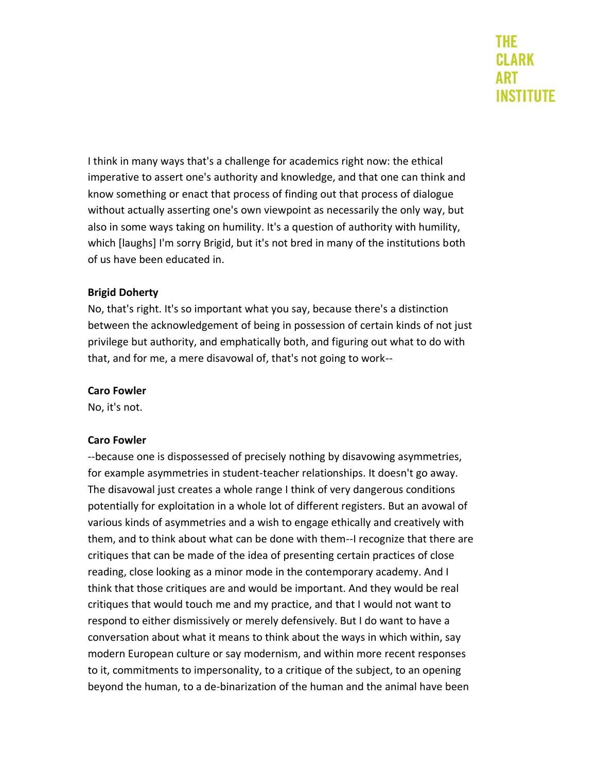I think in many ways that's a challenge for academics right now: the ethical imperative to assert one's authority and knowledge, and that one can think and know something or enact that process of finding out that process of dialogue without actually asserting one's own viewpoint as necessarily the only way, but also in some ways taking on humility. It's a question of authority with humility, which [laughs] I'm sorry Brigid, but it's not bred in many of the institutions both of us have been educated in.

### **Brigid Doherty**

No, that's right. It's so important what you say, because there's a distinction between the acknowledgement of being in possession of certain kinds of not just privilege but authority, and emphatically both, and figuring out what to do with that, and for me, a mere disavowal of, that's not going to work--

#### **Caro Fowler**

No, it's not.

#### **Caro Fowler**

--because one is dispossessed of precisely nothing by disavowing asymmetries, for example asymmetries in student-teacher relationships. It doesn't go away. The disavowal just creates a whole range I think of very dangerous conditions potentially for exploitation in a whole lot of different registers. But an avowal of various kinds of asymmetries and a wish to engage ethically and creatively with them, and to think about what can be done with them--I recognize that there are critiques that can be made of the idea of presenting certain practices of close reading, close looking as a minor mode in the contemporary academy. And I think that those critiques are and would be important. And they would be real critiques that would touch me and my practice, and that I would not want to respond to either dismissively or merely defensively. But I do want to have a conversation about what it means to think about the ways in which within, say modern European culture or say modernism, and within more recent responses to it, commitments to impersonality, to a critique of the subject, to an opening beyond the human, to a de-binarization of the human and the animal have been